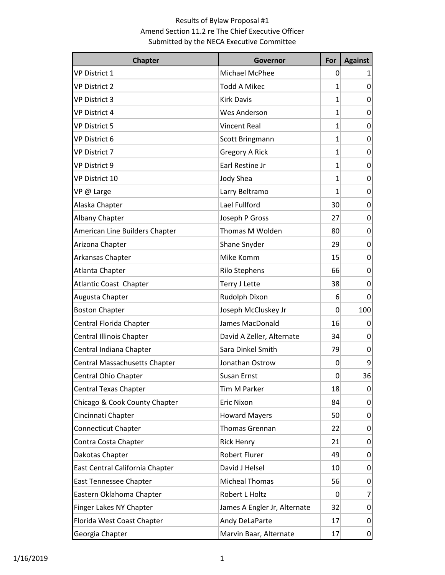| <b>Chapter</b>                       | Governor                     | For      | <b>Against</b> |
|--------------------------------------|------------------------------|----------|----------------|
| VP District 1                        | Michael McPhee               | 0        |                |
| <b>VP District 2</b>                 | <b>Todd A Mikec</b>          | 1        | 0              |
| <b>VP District 3</b>                 | <b>Kirk Davis</b>            | 1        | 0              |
| <b>VP District 4</b>                 | <b>Wes Anderson</b>          | 1        | 0              |
| <b>VP District 5</b>                 | <b>Vincent Real</b>          | 1        | 0              |
| VP District 6                        | Scott Bringmann              | 1        | 0              |
| <b>VP District 7</b>                 | <b>Gregory A Rick</b>        | 1        | 0              |
| <b>VP District 9</b>                 | Earl Restine Jr              | 1        | 0              |
| VP District 10                       | Jody Shea                    | 1        | 0              |
| VP @ Large                           | Larry Beltramo               | 1        | 0              |
| Alaska Chapter                       | Lael Fullford                | 30       | 0              |
| <b>Albany Chapter</b>                | Joseph P Gross               | 27       | 0              |
| American Line Builders Chapter       | Thomas M Wolden              | 80       | 0              |
| Arizona Chapter                      | Shane Snyder                 | 29       | 0              |
| Arkansas Chapter                     | Mike Komm                    | 15       | 0              |
| Atlanta Chapter                      | <b>Rilo Stephens</b>         | 66       | 0              |
| <b>Atlantic Coast Chapter</b>        | Terry J Lette                | 38       | 0              |
| Augusta Chapter                      | Rudolph Dixon                | 6        | 0              |
| <b>Boston Chapter</b>                | Joseph McCluskey Jr          | 0        | 100            |
| Central Florida Chapter              | James MacDonald              | 16       | 0              |
| Central Illinois Chapter             | David A Zeller, Alternate    | 34       | 0              |
| Central Indiana Chapter              | Sara Dinkel Smith            | 79       | 0              |
| <b>Central Massachusetts Chapter</b> | Jonathan Ostrow              | 0        | 9              |
| Central Ohio Chapter                 | Susan Ernst                  | 0        | 36             |
| Central Texas Chapter                | Tim M Parker                 | 18       | 0              |
| Chicago & Cook County Chapter        | <b>Eric Nixon</b>            | 84       | 0              |
| Cincinnati Chapter                   | <b>Howard Mayers</b>         | 50       | 0              |
| <b>Connecticut Chapter</b>           | Thomas Grennan               | 22       | 0              |
| Contra Costa Chapter                 | <b>Rick Henry</b>            | 21       | 0              |
| Dakotas Chapter                      | <b>Robert Flurer</b>         | 49       | 0              |
| East Central California Chapter      | David J Helsel               | 10       | 0              |
| East Tennessee Chapter               | <b>Micheal Thomas</b>        | 56       | 0              |
| Eastern Oklahoma Chapter             | Robert L Holtz               | $\Omega$ | 7              |
| Finger Lakes NY Chapter              | James A Engler Jr, Alternate | 32       | 0              |
| Florida West Coast Chapter           | Andy DeLaParte               | 17       | 0              |
| Georgia Chapter                      | Marvin Baar, Alternate       | 17       | 0              |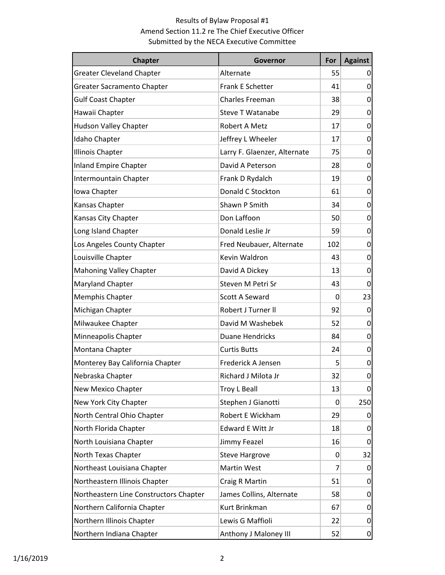| <b>Chapter</b>                         | Governor                     | For      | <b>Against</b> |
|----------------------------------------|------------------------------|----------|----------------|
| <b>Greater Cleveland Chapter</b>       | Alternate                    | 55       | 0              |
| Greater Sacramento Chapter             | Frank E Schetter             | 41       | $\overline{0}$ |
| <b>Gulf Coast Chapter</b>              | Charles Freeman              | 38       | 0              |
| Hawaii Chapter                         | <b>Steve T Watanabe</b>      | 29       | 0              |
| <b>Hudson Valley Chapter</b>           | Robert A Metz                | 17       | 0              |
| Idaho Chapter                          | Jeffrey L Wheeler            | 17       | 0              |
| <b>Illinois Chapter</b>                | Larry F. Glaenzer, Alternate | 75       | 0              |
| <b>Inland Empire Chapter</b>           | David A Peterson             | 28       | 0              |
| Intermountain Chapter                  | Frank D Rydalch              | 19       | 0              |
| Iowa Chapter                           | Donald C Stockton            | 61       | 0              |
| Kansas Chapter                         | Shawn P Smith                | 34       | 0              |
| Kansas City Chapter                    | Don Laffoon                  | 50       | 0              |
| Long Island Chapter                    | Donald Leslie Jr             | 59       | 0              |
| Los Angeles County Chapter             | Fred Neubauer, Alternate     | 102      | 0              |
| Louisville Chapter                     | Kevin Waldron                | 43       | 0              |
| <b>Mahoning Valley Chapter</b>         | David A Dickey               | 13       | 0              |
| Maryland Chapter                       | Steven M Petri Sr            | 43       | 0              |
| Memphis Chapter                        | Scott A Seward               | 0        | 23             |
| Michigan Chapter                       | Robert J Turner II           | 92       | 0              |
| Milwaukee Chapter                      | David M Washebek             | 52       | 0              |
| Minneapolis Chapter                    | <b>Duane Hendricks</b>       | 84       | 0              |
| Montana Chapter                        | <b>Curtis Butts</b>          | 24       | 0              |
| Monterey Bay California Chapter        | Frederick A Jensen           | 5        | 0              |
| Nebraska Chapter                       | Richard J Milota Jr          | 32       | 0              |
| New Mexico Chapter                     | Troy L Beall                 | 13       | 0              |
| New York City Chapter                  | Stephen J Gianotti           | $\Omega$ | 250            |
| North Central Ohio Chapter             | Robert E Wickham             | 29       | 0              |
| North Florida Chapter                  | Edward E Witt Jr             | 18       | 0              |
| North Louisiana Chapter                | Jimmy Feazel                 | 16       | 0              |
| North Texas Chapter                    | <b>Steve Hargrove</b>        | $\Omega$ | 32             |
| Northeast Louisiana Chapter            | Martin West                  | 7        | 0              |
| Northeastern Illinois Chapter          | Craig R Martin               | 51       | 0              |
| Northeastern Line Constructors Chapter | James Collins, Alternate     | 58       | 0              |
| Northern California Chapter            | Kurt Brinkman                | 67       | 0              |
| Northern Illinois Chapter              | Lewis G Maffioli             | 22       | 0              |
| Northern Indiana Chapter               | Anthony J Maloney III        | 52       | $\overline{0}$ |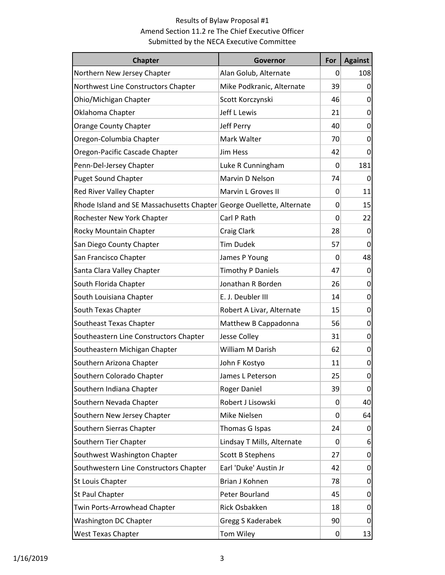| <b>Chapter</b>                                                        | Governor                   | For             | <b>Against</b> |
|-----------------------------------------------------------------------|----------------------------|-----------------|----------------|
| Northern New Jersey Chapter                                           | Alan Golub, Alternate      | 0               | 108            |
| Northwest Line Constructors Chapter                                   | Mike Podkranic, Alternate  | 39              | 0              |
| Ohio/Michigan Chapter                                                 | Scott Korczynski           | 46              | 0              |
| Oklahoma Chapter                                                      | Jeff L Lewis               | 21              | 0              |
| <b>Orange County Chapter</b>                                          | Jeff Perry                 | 40              | 0              |
| Oregon-Columbia Chapter                                               | Mark Walter                | 70              | 0              |
| Oregon-Pacific Cascade Chapter                                        | <b>Jim Hess</b>            | 42              | 0              |
| Penn-Del-Jersey Chapter                                               | Luke R Cunningham          | 0               | 181            |
| <b>Puget Sound Chapter</b>                                            | Marvin D Nelson            | 74              | 0              |
| Red River Valley Chapter                                              | Marvin L Groves II         | 0               | 11             |
| Rhode Island and SE Massachusetts Chapter George Ouellette, Alternate |                            | 0               | 15             |
| Rochester New York Chapter                                            | Carl P Rath                | 0               | 22             |
| Rocky Mountain Chapter                                                | Craig Clark                | 28              | 0              |
| San Diego County Chapter                                              | <b>Tim Dudek</b>           | 57              | 0              |
| San Francisco Chapter                                                 | James P Young              | 0               | 48             |
| Santa Clara Valley Chapter                                            | <b>Timothy P Daniels</b>   | 47              | 0              |
| South Florida Chapter                                                 | Jonathan R Borden          | 26              | 0              |
| South Louisiana Chapter                                               | E. J. Deubler III          | 14              | 0              |
| South Texas Chapter                                                   | Robert A Livar, Alternate  | 15              | 0              |
| Southeast Texas Chapter                                               | Matthew B Cappadonna       | 56              | 0              |
| Southeastern Line Constructors Chapter                                | Jesse Colley               | 31              | 0              |
| Southeastern Michigan Chapter                                         | <b>William M Darish</b>    | 62              | 0              |
| Southern Arizona Chapter                                              | John F Kostyo              | 11              | 0              |
| Southern Colorado Chapter                                             | James L Peterson           | 25              | 0              |
| Southern Indiana Chapter                                              | Roger Daniel               | 39              | 0              |
| Southern Nevada Chapter                                               | Robert J Lisowski          | 0               | 40             |
| Southern New Jersey Chapter                                           | Mike Nielsen               | $\Omega$        | 64             |
| Southern Sierras Chapter                                              | Thomas G Ispas             | 24              | 0              |
| Southern Tier Chapter                                                 | Lindsay T Mills, Alternate | 0               | 6              |
| Southwest Washington Chapter                                          | <b>Scott B Stephens</b>    | 27              | 0              |
| Southwestern Line Constructors Chapter                                | Earl 'Duke' Austin Jr      | 42              | 0              |
| St Louis Chapter                                                      | Brian J Kohnen             | 78              | 0              |
| St Paul Chapter                                                       | Peter Bourland             | 45              | 0              |
| Twin Ports-Arrowhead Chapter                                          | Rick Osbakken              | 18              | 0              |
| Washington DC Chapter                                                 | Gregg S Kaderabek          | 90 <sup>°</sup> | 0              |
| <b>West Texas Chapter</b>                                             | Tom Wiley                  | $\vert 0 \vert$ | 13             |